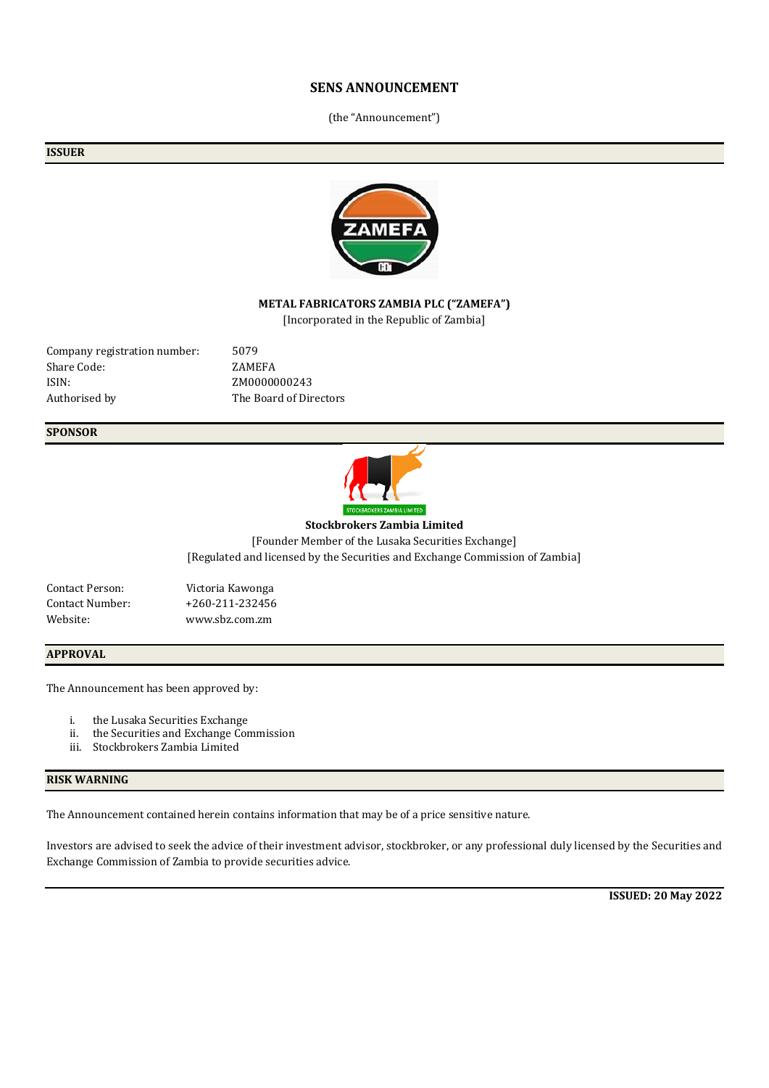## **SENS ANNOUNCEMENT**

(the "Announcement")

#### **ISSUER**



## **METAL FABRICATORS ZAMBIA PLC ("ZAMEFA")**

[Incorporated in the Republic of Zambia]

Company registration number: 5079 Share Code: ZAMEFA ISIN: ZM0000000243 Authorised by The Board of Directors

## **SPONSOR**



**Stockbrokers Zambia Limited**

[Founder Member of the Lusaka Securities Exchange] [Regulated and licensed by the Securities and Exchange Commission of Zambia]

| <b>Contact Person:</b> |  |
|------------------------|--|
| <b>Contact Number:</b> |  |
| Website:               |  |

Victoria Kawonga  $+260-211-232456$ Website: www.sbz.com.zm

#### **APPROVAL**

The Announcement has been approved by:

- i. the Lusaka Securities Exchange
- ii. the Securities and Exchange Commission
- iii. Stockbrokers Zambia Limited

## **RISK WARNING**

The Announcement contained herein contains information that may be of a price sensitive nature.

Investors are advised to seek the advice of their investment advisor, stockbroker, or any professional duly licensed by the Securities and Exchange Commission of Zambia to provide securities advice.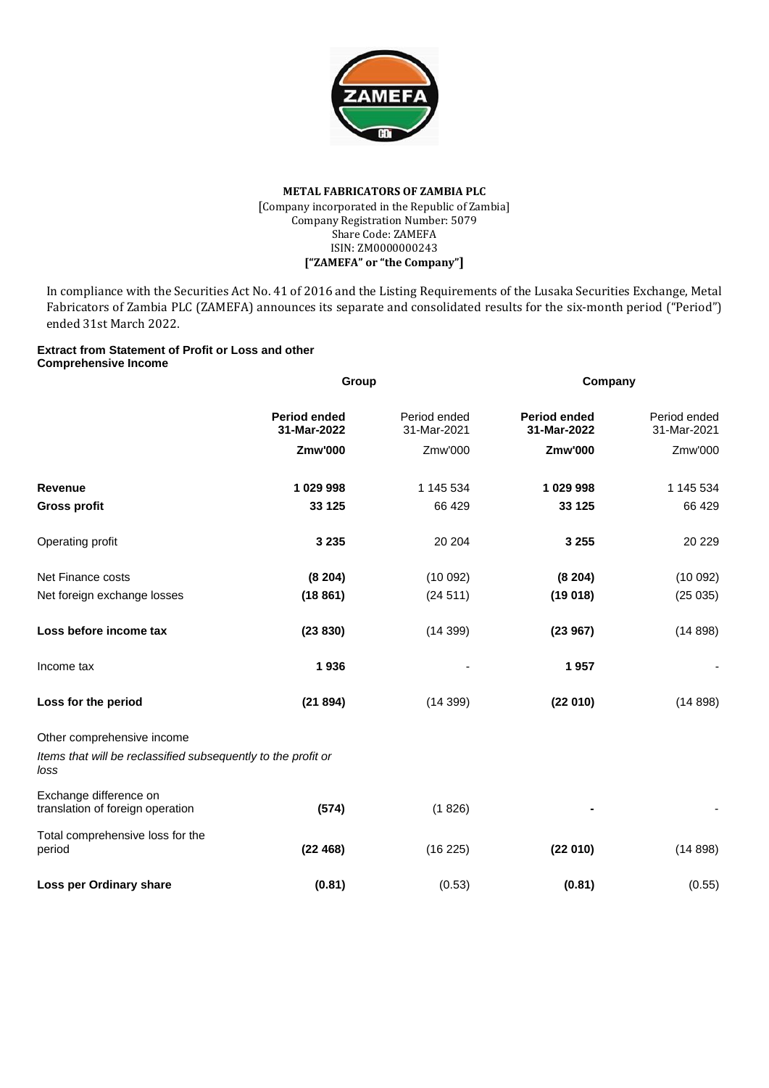

### **METAL FABRICATORS OF ZAMBIA PLC** [Company incorporated in the Republic of Zambia] Company Registration Number: 5079 Share Code: ZAMEFA ISIN: ZM0000000243 **["ZAMEFA" or "the Company"]**

In compliance with the Securities Act No. 41 of 2016 and the Listing Requirements of the Lusaka Securities Exchange, Metal Fabricators of Zambia PLC (ZAMEFA) announces its separate and consolidated results for the six-month period ("Period") ended 31st March 2022.

### **Extract from Statement of Profit or Loss and other Comprehensive Income**

|                                                                       | Group                              |                             | Company                            |                             |  |
|-----------------------------------------------------------------------|------------------------------------|-----------------------------|------------------------------------|-----------------------------|--|
|                                                                       | <b>Period ended</b><br>31-Mar-2022 | Period ended<br>31-Mar-2021 | <b>Period ended</b><br>31-Mar-2022 | Period ended<br>31-Mar-2021 |  |
|                                                                       | <b>Zmw'000</b>                     | Zmw'000                     | Zmw'000                            | Zmw'000                     |  |
| Revenue                                                               | 1 029 998                          | 1 145 534                   | 1 029 998                          | 1 145 534                   |  |
| <b>Gross profit</b>                                                   | 33 1 25                            | 66 429                      | 33 125                             | 66 429                      |  |
| Operating profit                                                      | 3 2 3 5                            | 20 204                      | 3 2 5 5                            | 20 229                      |  |
| Net Finance costs                                                     | (8204)                             | (10092)                     | (8204)                             | (10092)                     |  |
| Net foreign exchange losses                                           | (18861)                            | (24511)                     | (19018)                            | (25035)                     |  |
| Loss before income tax                                                | (23 830)                           | (14399)                     | (23967)                            | (14898)                     |  |
| Income tax                                                            | 1936                               |                             | 1957                               |                             |  |
| Loss for the period                                                   | (21894)                            | (14399)                     | (22010)                            | (14898)                     |  |
| Other comprehensive income                                            |                                    |                             |                                    |                             |  |
| Items that will be reclassified subsequently to the profit or<br>loss |                                    |                             |                                    |                             |  |
| Exchange difference on<br>translation of foreign operation            | (574)                              | (1826)                      |                                    |                             |  |
| Total comprehensive loss for the<br>period                            | (22468)                            | (16 225)                    | (22010)                            | (14898)                     |  |
| Loss per Ordinary share                                               | (0.81)                             | (0.53)                      | (0.81)                             | (0.55)                      |  |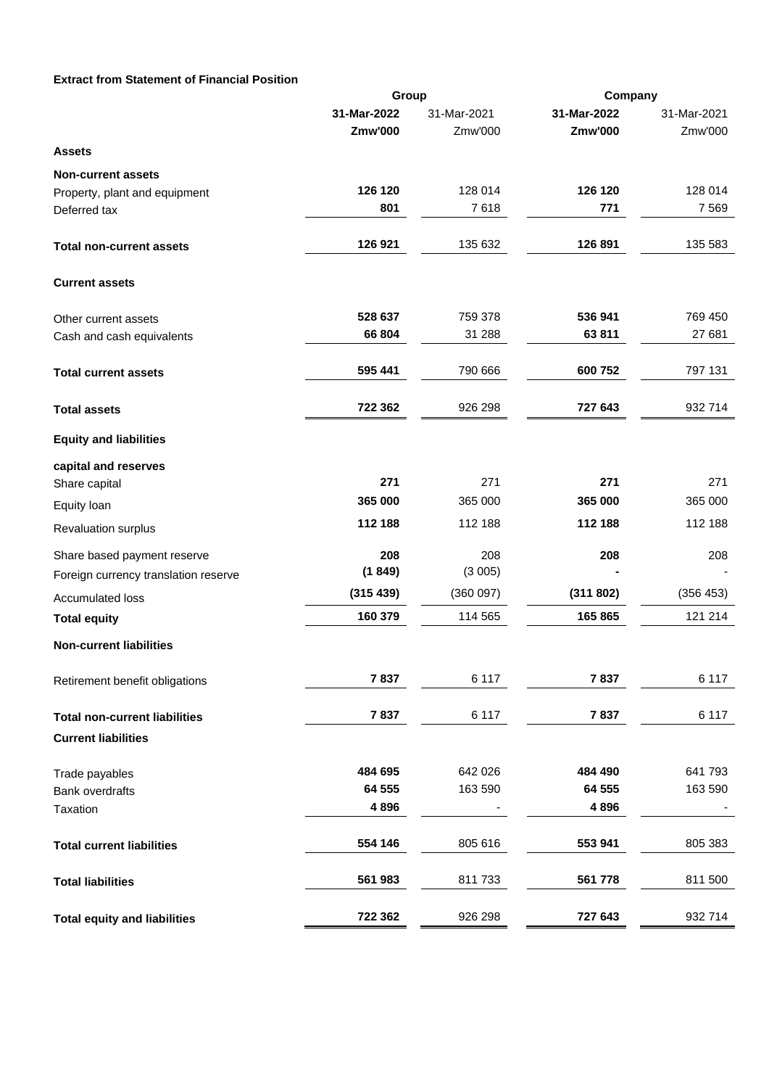## **Extract from Statement of Financial Position**

|                                      | Group          |             | Company     |             |
|--------------------------------------|----------------|-------------|-------------|-------------|
|                                      | 31-Mar-2022    | 31-Mar-2021 | 31-Mar-2022 | 31-Mar-2021 |
|                                      | <b>Zmw'000</b> | Zmw'000     | Zmw'000     | Zmw'000     |
| Assets                               |                |             |             |             |
| <b>Non-current assets</b>            |                |             |             |             |
| Property, plant and equipment        | 126 120        | 128 014     | 126 120     | 128 014     |
| Deferred tax                         | 801            | 7618        | 771         | 7 5 6 9     |
| <b>Total non-current assets</b>      | 126 921        | 135 632     | 126 891     | 135 583     |
| <b>Current assets</b>                |                |             |             |             |
| Other current assets                 | 528 637        | 759 378     | 536 941     | 769 450     |
| Cash and cash equivalents            | 66 804         | 31 288      | 63811       | 27 681      |
| <b>Total current assets</b>          | 595 441        | 790 666     | 600 752     | 797 131     |
| <b>Total assets</b>                  | 722 362        | 926 298     | 727 643     | 932 714     |
| <b>Equity and liabilities</b>        |                |             |             |             |
| capital and reserves                 |                |             |             |             |
| Share capital                        | 271            | 271         | 271         | 271         |
| Equity loan                          | 365 000        | 365 000     | 365 000     | 365 000     |
| Revaluation surplus                  | 112 188        | 112 188     | 112 188     | 112 188     |
| Share based payment reserve          | 208            | 208         | 208         | 208         |
| Foreign currency translation reserve | (1849)         | (3005)      |             |             |
| <b>Accumulated loss</b>              | (315439)       | (360097)    | (311 802)   | (356 453)   |
| <b>Total equity</b>                  | 160 379        | 114 565     | 165 865     | 121 214     |
| <b>Non-current liabilities</b>       |                |             |             |             |
| Retirement benefit obligations       | 7837           | 6 1 1 7     | 7837        | 6 1 1 7     |
| <b>Total non-current liabilities</b> | 7837           | 6 1 1 7     | 7837        | 6 1 1 7     |
| <b>Current liabilities</b>           |                |             |             |             |
| Trade payables                       | 484 695        | 642 026     | 484 490     | 641 793     |
| <b>Bank overdrafts</b>               | 64 555         | 163 590     | 64 555      | 163 590     |
| Taxation                             | 4896           |             | 4896        |             |
| <b>Total current liabilities</b>     | 554 146        | 805 616     | 553 941     | 805 383     |
| <b>Total liabilities</b>             | 561 983        | 811 733     | 561 778     | 811 500     |
| <b>Total equity and liabilities</b>  | 722 362        | 926 298     | 727 643     | 932 714     |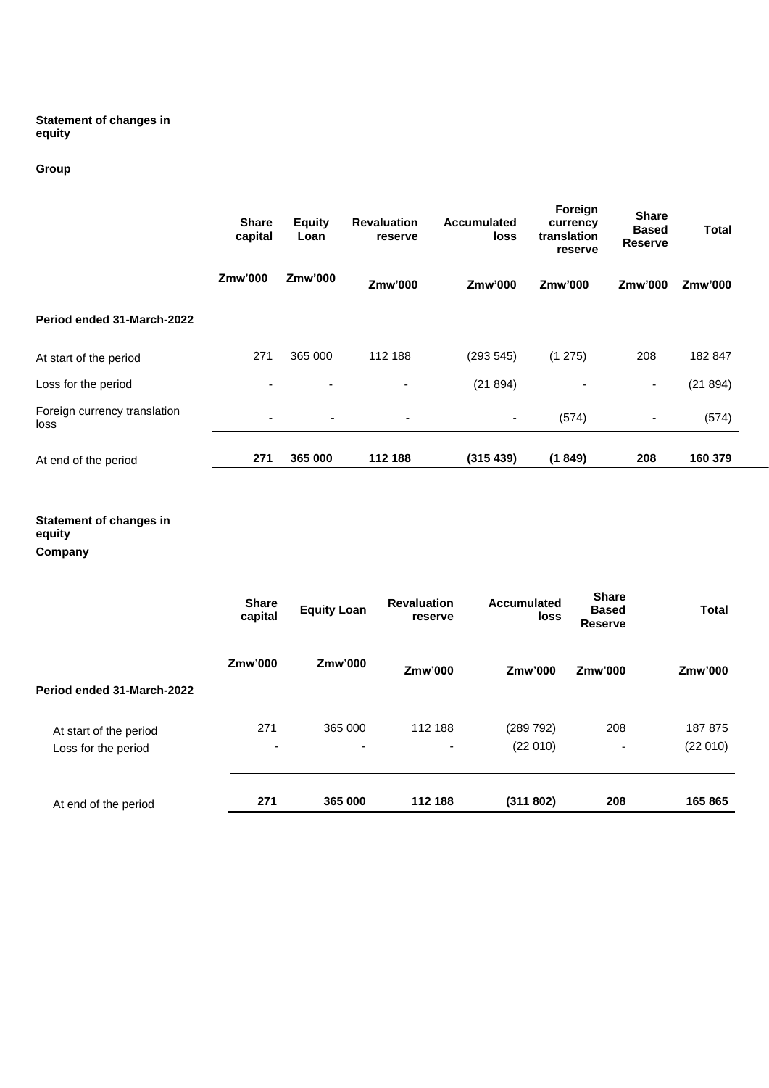### **Statement of changes in equity**

# **Group**

|                                      | <b>Share</b><br>capital | <b>Equity</b><br>Loan    | <b>Revaluation</b><br>reserve | <b>Accumulated</b><br>loss | Foreign<br>currency<br>translation<br>reserve | <b>Share</b><br><b>Based</b><br><b>Reserve</b> | <b>Total</b> |
|--------------------------------------|-------------------------|--------------------------|-------------------------------|----------------------------|-----------------------------------------------|------------------------------------------------|--------------|
|                                      | Zmw'000                 | Zmw'000                  | Zmw'000                       | Zmw'000                    | Zmw'000                                       | Zmw'000                                        | Zmw'000      |
| Period ended 31-March-2022           |                         |                          |                               |                            |                                               |                                                |              |
| At start of the period               | 271                     | 365 000                  | 112 188                       | (293545)                   | (1275)                                        | 208                                            | 182 847      |
| Loss for the period                  |                         |                          |                               | (21894)                    |                                               | $\overline{\phantom{a}}$                       | (21894)      |
| Foreign currency translation<br>loss | ۰                       | $\overline{\phantom{a}}$ | $\overline{\phantom{a}}$      | $\overline{\phantom{a}}$   | (574)                                         | $\overline{\phantom{a}}$                       | (574)        |
| At end of the period                 | 271                     | 365 000                  | 112 188                       | (315 439)                  | (1849)                                        | 208                                            | 160 379      |

## **Statement of changes in equity**

**Company**

|                                               | <b>Share</b><br>capital         | <b>Equity Loan</b> | <b>Revaluation</b><br>reserve | <b>Accumulated</b><br>loss | <b>Share</b><br><b>Based</b><br><b>Reserve</b> | <b>Total</b>       |
|-----------------------------------------------|---------------------------------|--------------------|-------------------------------|----------------------------|------------------------------------------------|--------------------|
| Period ended 31-March-2022                    | Zmw'000                         | Zmw'000            | Zmw'000                       | Zmw'000                    | Zmw'000                                        | Zmw'000            |
| At start of the period<br>Loss for the period | 271<br>$\overline{\phantom{a}}$ | 365 000<br>-       | 112 188<br>٠                  | (289 792)<br>(22 010)      | 208<br>$\overline{\phantom{a}}$                | 187875<br>(22 010) |
| At end of the period                          | 271                             | 365 000            | 112 188                       | (311802)                   | 208                                            | 165 865            |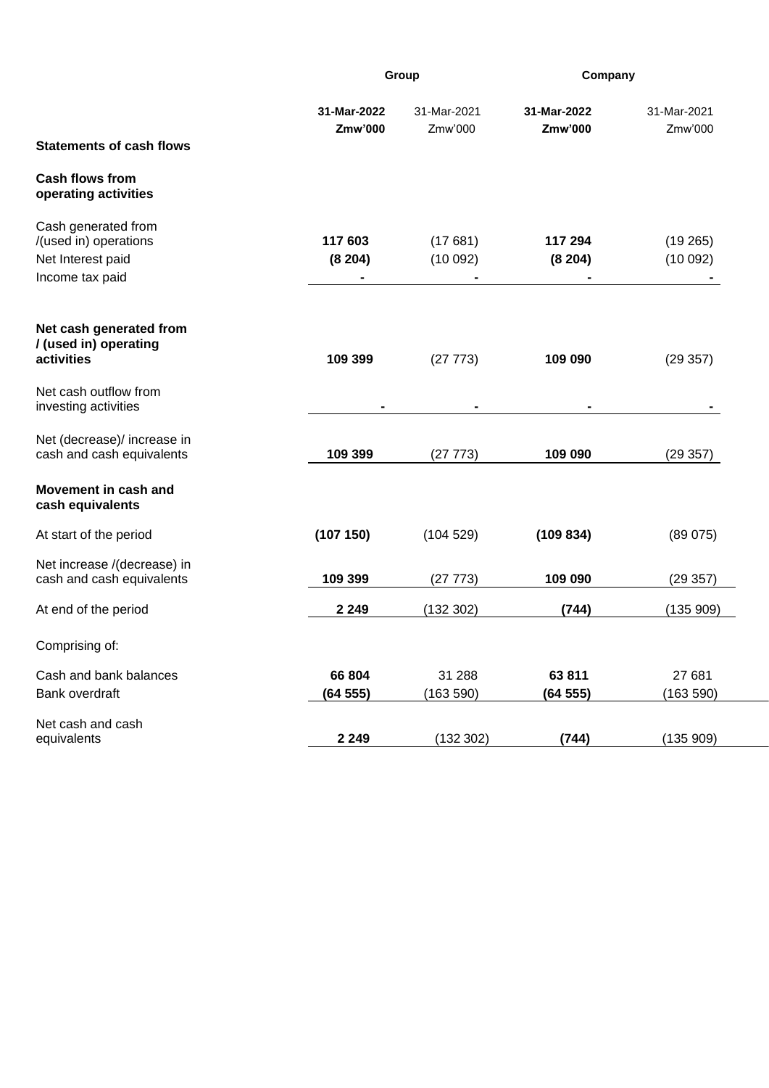|                                                                                      |                        | Group                  |                        | Company                |
|--------------------------------------------------------------------------------------|------------------------|------------------------|------------------------|------------------------|
| <b>Statements of cash flows</b>                                                      | 31-Mar-2022<br>Zmw'000 | 31-Mar-2021<br>Zmw'000 | 31-Mar-2022<br>Zmw'000 | 31-Mar-2021<br>Zmw'000 |
| <b>Cash flows from</b><br>operating activities                                       |                        |                        |                        |                        |
| Cash generated from<br>/(used in) operations<br>Net Interest paid<br>Income tax paid | 117 603<br>(8204)      | (17681)<br>(10092)     | 117 294<br>(8204)      | (19265)<br>(10092)     |
| Net cash generated from<br>/ (used in) operating<br>activities                       | 109 399                | (27 773)               | 109 090                | (29357)                |
| Net cash outflow from<br>investing activities                                        |                        |                        |                        |                        |
| Net (decrease)/ increase in<br>cash and cash equivalents                             | 109 399                | (27773)                | 109 090                | (29357)                |
| Movement in cash and<br>cash equivalents                                             |                        |                        |                        |                        |
| At start of the period                                                               | (107 150)              | (104529)               | (109 834)              | (89075)                |
| Net increase /(decrease) in<br>cash and cash equivalents                             | 109 399                | (27773)                | 109 090                | (29357)                |
| At end of the period                                                                 | 2 2 4 9                | (132 302)              | (744)                  | (135909)               |
| Comprising of:                                                                       |                        |                        |                        |                        |
| Cash and bank balances<br>Bank overdraft                                             | 66 804<br>(64555)      | 31 288<br>(163590)     | 63811<br>(64555)       | 27 681<br>(163590)     |
| Net cash and cash<br>equivalents                                                     | 2 2 4 9                | (132302)               | (744)                  | (135909)               |